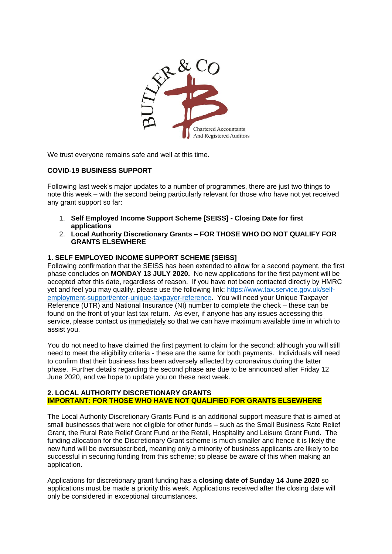

We trust everyone remains safe and well at this time.

# **COVID-19 BUSINESS SUPPORT**

Following last week's major updates to a number of programmes, there are just two things to note this week – with the second being particularly relevant for those who have not yet received any grant support so far:

- 1. **Self Employed Income Support Scheme [SEISS] - Closing Date for first applications**
- 2. **Local Authority Discretionary Grants – FOR THOSE WHO DO NOT QUALIFY FOR GRANTS ELSEWHERE**

## **1. SELF EMPLOYED INCOME SUPPORT SCHEME [SEISS]**

Following confirmation that the SEISS has been extended to allow for a second payment, the first phase concludes on **MONDAY 13 JULY 2020.** No new applications for the first payment will be accepted after this date, regardless of reason. If you have not been contacted directly by HMRC yet and feel you may qualify, please use the following link: [https://www.tax.service.gov.uk/self](https://www.tax.service.gov.uk/self-employment-support/enter-unique-taxpayer-reference)[employment-support/enter-unique-taxpayer-reference.](https://www.tax.service.gov.uk/self-employment-support/enter-unique-taxpayer-reference) You will need your Unique Taxpayer Reference (UTR) and National Insurance (NI) number to complete the check – these can be found on the front of your last tax return. As ever, if anyone has any issues accessing this service, please contact us immediately so that we can have maximum available time in which to assist you.

You do not need to have claimed the first payment to claim for the second; although you will still need to meet the eligibility criteria - these are the same for both payments. Individuals will need to confirm that their business has been adversely affected by coronavirus during the latter phase. Further details regarding the second phase are due to be announced after Friday 12 June 2020, and we hope to update you on these next week.

## **2. LOCAL AUTHORITY DISCRETIONARY GRANTS IMPORTANT: FOR THOSE WHO HAVE NOT QUALIFIED FOR GRANTS ELSEWHERE**

The Local Authority Discretionary Grants Fund is an additional support measure that is aimed at small businesses that were not eligible for other funds – such as the Small Business Rate Relief Grant, the Rural Rate Relief Grant Fund or the Retail, Hospitality and Leisure Grant Fund. The funding allocation for the Discretionary Grant scheme is much smaller and hence it is likely the new fund will be oversubscribed, meaning only a minority of business applicants are likely to be successful in securing funding from this scheme; so please be aware of this when making an application.

Applications for discretionary grant funding has a **closing date of Sunday 14 June 2020** so applications must be made a priority this week. Applications received after the closing date will only be considered in exceptional circumstances.